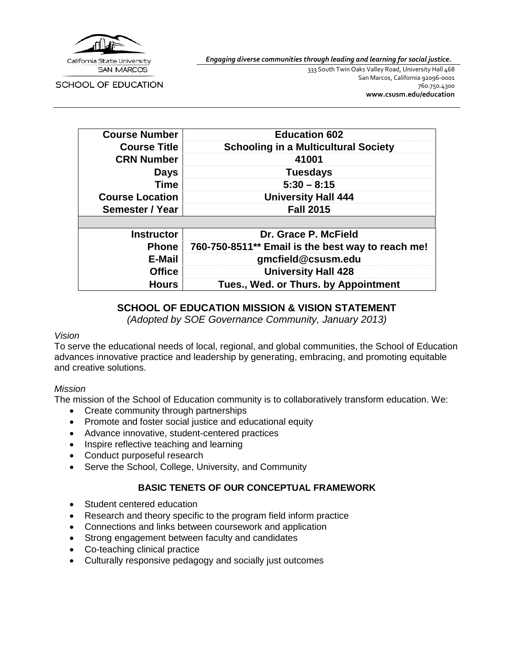

*Engaging diverse communities through leading and learning for social justice.*

**SCHOOL OF EDUCATION** 

333 South Twin Oaks Valley Road, University Hall 468 San Marcos, California 92096-0001 760.750.4300 **[www.csusm.edu/education](http://www.csusm.edu/education)**

| <b>Course Number</b>   | <b>Education 602</b>                              |
|------------------------|---------------------------------------------------|
| <b>Course Title</b>    | <b>Schooling in a Multicultural Society</b>       |
| <b>CRN Number</b>      | 41001                                             |
| <b>Days</b>            | <b>Tuesdays</b>                                   |
| <b>Time</b>            | $5:30 - 8:15$                                     |
| <b>Course Location</b> | <b>University Hall 444</b>                        |
| Semester / Year        | <b>Fall 2015</b>                                  |
|                        |                                                   |
| <b>Instructor</b>      | Dr. Grace P. McField                              |
| <b>Phone</b>           | 760-750-8511** Email is the best way to reach me! |
| E-Mail                 | gmcfield@csusm.edu                                |
| <b>Office</b>          | <b>University Hall 428</b>                        |
| <b>Hours</b>           | Tues., Wed. or Thurs. by Appointment              |

### **SCHOOL OF EDUCATION MISSION & VISION STATEMENT**

*(Adopted by SOE Governance Community, January 2013)*

#### *Vision*

To serve the educational needs of local, regional, and global communities, the School of Education advances innovative practice and leadership by generating, embracing, and promoting equitable and creative solutions.

#### *Mission*

The mission of the School of Education community is to collaboratively transform education. We:

- Create community through partnerships
- Promote and foster social justice and educational equity
- Advance innovative, student-centered practices
- Inspire reflective teaching and learning
- Conduct purposeful research
- Serve the School, College, University, and Community

### **BASIC TENETS OF OUR CONCEPTUAL FRAMEWORK**

- Student centered education
- Research and theory specific to the program field inform practice
- Connections and links between coursework and application
- Strong engagement between faculty and candidates
- Co-teaching clinical practice
- Culturally responsive pedagogy and socially just outcomes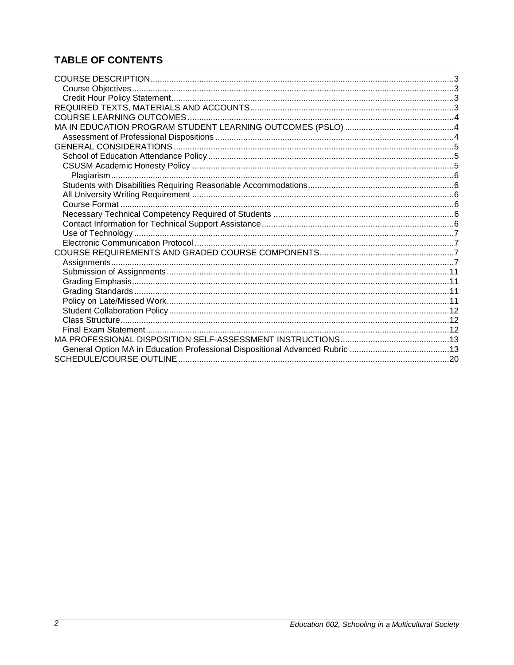# **TABLE OF CONTENTS**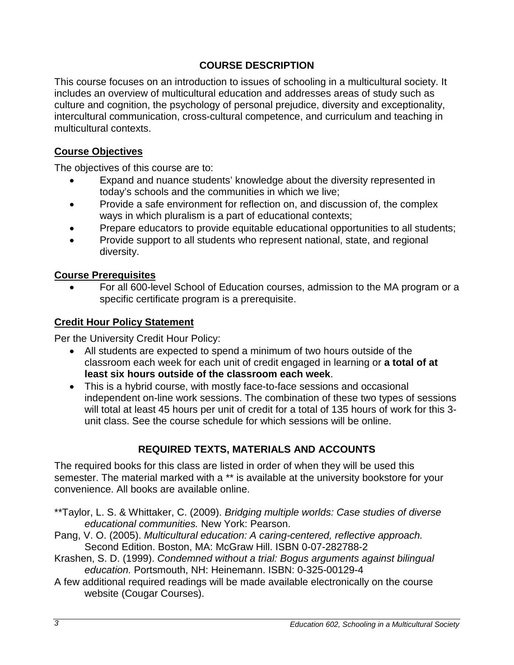## **COURSE DESCRIPTION**

<span id="page-2-0"></span>This course focuses on an introduction to issues of schooling in a multicultural society. It includes an overview of multicultural education and addresses areas of study such as culture and cognition, the psychology of personal prejudice, diversity and exceptionality, intercultural communication, cross-cultural competence, and curriculum and teaching in multicultural contexts.

## <span id="page-2-1"></span>**Course Objectives**

The objectives of this course are to:

- Expand and nuance students' knowledge about the diversity represented in today's schools and the communities in which we live;
- Provide a safe environment for reflection on, and discussion of, the complex ways in which pluralism is a part of educational contexts;
- Prepare educators to provide equitable educational opportunities to all students;
- Provide support to all students who represent national, state, and regional diversity.

### **Course Prerequisites**

• For all 600-level School of Education courses, admission to the MA program or a specific certificate program is a prerequisite.

## <span id="page-2-2"></span>**Credit Hour Policy Statement**

Per the University Credit Hour Policy:

- All students are expected to spend a minimum of two hours outside of the classroom each week for each unit of credit engaged in learning or **a total of at least six hours outside of the classroom each week**.
- This is a hybrid course, with mostly face-to-face sessions and occasional independent on-line work sessions. The combination of these two types of sessions will total at least 45 hours per unit of credit for a total of 135 hours of work for this 3 unit class. See the course schedule for which sessions will be online.

## **REQUIRED TEXTS, MATERIALS AND ACCOUNTS**

<span id="page-2-3"></span>The required books for this class are listed in order of when they will be used this semester. The material marked with a \*\* is available at the university bookstore for your convenience. All books are available online.

- \*\*Taylor, L. S. & Whittaker, C. (2009). *Bridging multiple worlds: Case studies of diverse educational communities.* New York: Pearson.
- Pang, V. O. (2005). *Multicultural education: A caring-centered, reflective approach.* Second Edition. Boston, MA: McGraw Hill. ISBN 0-07-282788-2
- Krashen, S. D. (1999). *Condemned without a trial: Bogus arguments against bilingual education.* Portsmouth, NH: Heinemann. ISBN: 0-325-00129-4
- A few additional required readings will be made available electronically on the course website (Cougar Courses).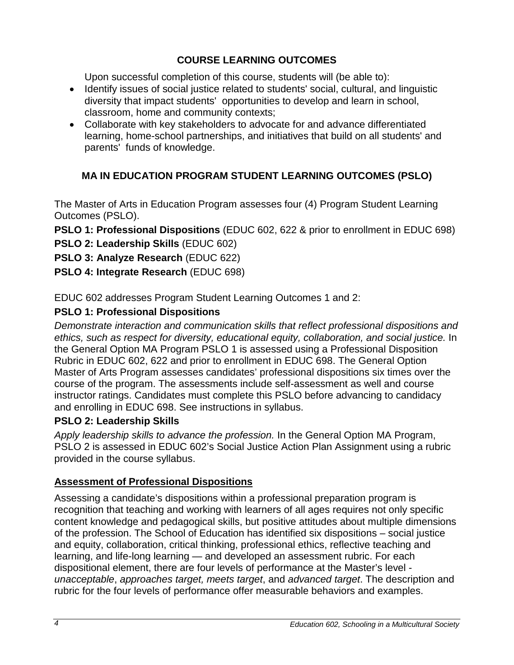## **COURSE LEARNING OUTCOMES**

Upon successful completion of this course, students will (be able to):

- <span id="page-3-0"></span>• Identify issues of social justice related to students' social, cultural, and linguistic diversity that impact students' opportunities to develop and learn in school, classroom, home and community contexts;
- Collaborate with key stakeholders to advocate for and advance differentiated learning, home-school partnerships, and initiatives that build on all students' and parents' funds of knowledge.

# <span id="page-3-1"></span>**MA IN EDUCATION PROGRAM STUDENT LEARNING OUTCOMES (PSLO)**

The Master of Arts in Education Program assesses four (4) Program Student Learning Outcomes (PSLO).

**PSLO 1: Professional Dispositions** (EDUC 602, 622 & prior to enrollment in EDUC 698)

**PSLO 2: Leadership Skills** (EDUC 602)

- **PSLO 3: Analyze Research** (EDUC 622)
- **PSLO 4: Integrate Research** (EDUC 698)

EDUC 602 addresses Program Student Learning Outcomes 1 and 2:

# **PSLO 1: Professional Dispositions**

*Demonstrate interaction and communication skills that reflect professional dispositions and ethics, such as respect for diversity, educational equity, collaboration, and social justice.* In the General Option MA Program PSLO 1 is assessed using a Professional Disposition Rubric in EDUC 602, 622 and prior to enrollment in EDUC 698. The General Option Master of Arts Program assesses candidates' professional dispositions six times over the course of the program. The assessments include self-assessment as well and course instructor ratings. Candidates must complete this PSLO before advancing to candidacy and enrolling in EDUC 698. See instructions in syllabus.

## **PSLO 2: Leadership Skills**

*Apply leadership skills to advance the profession.* In the General Option MA Program, PSLO 2 is assessed in EDUC 602's Social Justice Action Plan Assignment using a rubric provided in the course syllabus.

## <span id="page-3-2"></span>**Assessment of Professional Dispositions**

Assessing a candidate's dispositions within a professional preparation program is recognition that teaching and working with learners of all ages requires not only specific content knowledge and pedagogical skills, but positive attitudes about multiple dimensions of the profession. The School of Education has identified six dispositions – social justice and equity, collaboration, critical thinking, professional ethics, reflective teaching and learning, and life-long learning — and developed an assessment rubric. For each dispositional element, there are four levels of performance at the Master's level *unacceptable*, *approaches target, meets target*, and *advanced target*. The description and rubric for the four levels of performance offer measurable behaviors and examples.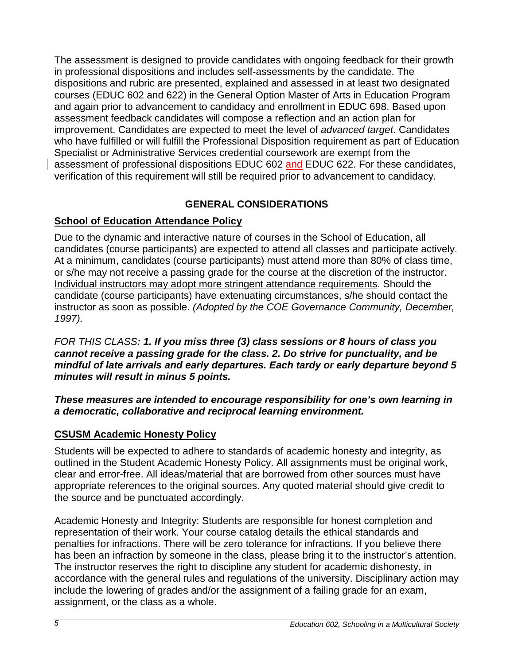The assessment is designed to provide candidates with ongoing feedback for their growth in professional dispositions and includes self-assessments by the candidate. The dispositions and rubric are presented, explained and assessed in at least two designated courses (EDUC 602 and 622) in the General Option Master of Arts in Education Program and again prior to advancement to candidacy and enrollment in EDUC 698. Based upon assessment feedback candidates will compose a reflection and an action plan for improvement. Candidates are expected to meet the level of *advanced target*. Candidates who have fulfilled or will fulfill the Professional Disposition requirement as part of Education Specialist or Administrative Services credential coursework are exempt from the assessment of professional dispositions EDUC 602 and EDUC 622. For these candidates, verification of this requirement will still be required prior to advancement to candidacy.

# **GENERAL CONSIDERATIONS**

## <span id="page-4-1"></span><span id="page-4-0"></span>**School of Education Attendance Policy**

Due to the dynamic and interactive nature of courses in the School of Education, all candidates (course participants) are expected to attend all classes and participate actively. At a minimum, candidates (course participants) must attend more than 80% of class time, or s/he may not receive a passing grade for the course at the discretion of the instructor. Individual instructors may adopt more stringent attendance requirements. Should the candidate (course participants) have extenuating circumstances, s/he should contact the instructor as soon as possible. *(Adopted by the COE Governance Community, December, 1997).* 

*FOR THIS CLASS: 1. If you miss three (3) class sessions or 8 hours of class you cannot receive a passing grade for the class. 2. Do strive for punctuality, and be mindful of late arrivals and early departures. Each tardy or early departure beyond 5 minutes will result in minus 5 points.*

### *These measures are intended to encourage responsibility for one's own learning in a democratic, collaborative and reciprocal learning environment.*

### <span id="page-4-2"></span>**CSUSM Academic Honesty Policy**

Students will be expected to adhere to standards of academic honesty and integrity, as outlined in the Student Academic Honesty Policy. All assignments must be original work, clear and error-free. All ideas/material that are borrowed from other sources must have appropriate references to the original sources. Any quoted material should give credit to the source and be punctuated accordingly.

Academic Honesty and Integrity: Students are responsible for honest completion and representation of their work. Your course catalog details the ethical standards and penalties for infractions. There will be zero tolerance for infractions. If you believe there has been an infraction by someone in the class, please bring it to the instructor's attention. The instructor reserves the right to discipline any student for academic dishonesty, in accordance with the general rules and regulations of the university. Disciplinary action may include the lowering of grades and/or the assignment of a failing grade for an exam, assignment, or the class as a whole.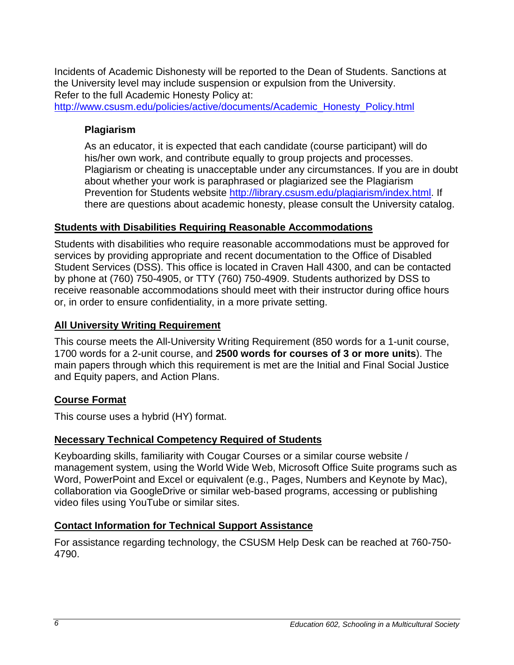Incidents of Academic Dishonesty will be reported to the Dean of Students. Sanctions at the University level may include suspension or expulsion from the University. Refer to the full Academic Honesty Policy at:

<span id="page-5-0"></span>[http://www.csusm.edu/policies/active/documents/Academic\\_Honesty\\_Policy.html](http://www.csusm.edu/policies/active/documents/Academic_Honesty_Policy.html)

## **Plagiarism**

As an educator, it is expected that each candidate (course participant) will do his/her own work, and contribute equally to group projects and processes. Plagiarism or cheating is unacceptable under any circumstances. If you are in doubt about whether your work is paraphrased or plagiarized see the Plagiarism Prevention for Students website [http://library.csusm.edu/plagiarism/index.html.](http://library.csusm.edu/plagiarism/index.html) If there are questions about academic honesty, please consult the University catalog.

## <span id="page-5-1"></span>**Students with Disabilities Requiring Reasonable Accommodations**

Students with disabilities who require reasonable accommodations must be approved for services by providing appropriate and recent documentation to the Office of Disabled Student Services (DSS). This office is located in Craven Hall 4300, and can be contacted by phone at (760) 750-4905, or TTY (760) 750-4909. Students authorized by DSS to receive reasonable accommodations should meet with their instructor during office hours or, in order to ensure confidentiality, in a more private setting.

## <span id="page-5-2"></span>**All University Writing Requirement**

This course meets the All-University Writing Requirement (850 words for a 1-unit course, 1700 words for a 2-unit course, and **2500 words for courses of 3 or more units**). The main papers through which this requirement is met are the Initial and Final Social Justice and Equity papers, and Action Plans.

## <span id="page-5-3"></span>**Course Format**

This course uses a hybrid (HY) format.

## <span id="page-5-4"></span>**Necessary Technical Competency Required of Students**

Keyboarding skills, familiarity with Cougar Courses or a similar course website / management system, using the World Wide Web, Microsoft Office Suite programs such as Word, PowerPoint and Excel or equivalent (e.g., Pages, Numbers and Keynote by Mac), collaboration via GoogleDrive or similar web-based programs, accessing or publishing video files using YouTube or similar sites.

## <span id="page-5-5"></span>**Contact Information for Technical Support Assistance**

For assistance regarding technology, the CSUSM Help Desk can be reached at 760-750- 4790.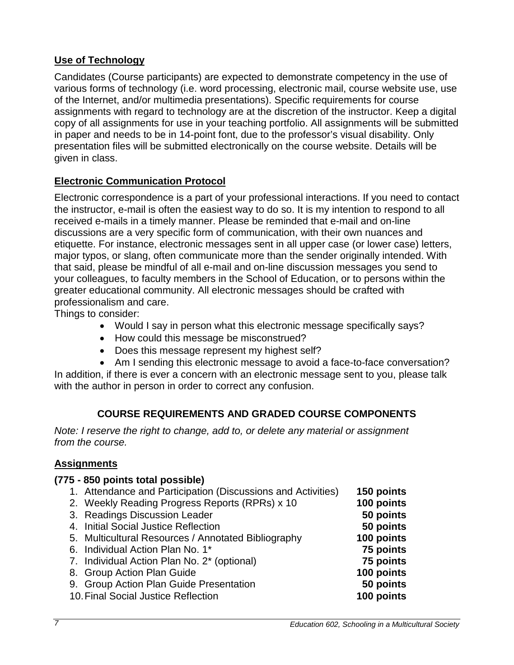## <span id="page-6-0"></span>**Use of Technology**

Candidates (Course participants) are expected to demonstrate competency in the use of various forms of technology (i.e. word processing, electronic mail, course website use, use of the Internet, and/or multimedia presentations). Specific requirements for course assignments with regard to technology are at the discretion of the instructor. Keep a digital copy of all assignments for use in your teaching portfolio. All assignments will be submitted in paper and needs to be in 14-point font, due to the professor's visual disability. Only presentation files will be submitted electronically on the course website. Details will be given in class.

## <span id="page-6-1"></span>**Electronic Communication Protocol**

Electronic correspondence is a part of your professional interactions. If you need to contact the instructor, e-mail is often the easiest way to do so. It is my intention to respond to all received e-mails in a timely manner. Please be reminded that e-mail and on-line discussions are a very specific form of communication, with their own nuances and etiquette. For instance, electronic messages sent in all upper case (or lower case) letters, major typos, or slang, often communicate more than the sender originally intended. With that said, please be mindful of all e-mail and on-line discussion messages you send to your colleagues, to faculty members in the School of Education, or to persons within the greater educational community. All electronic messages should be crafted with professionalism and care.

Things to consider:

- Would I say in person what this electronic message specifically says?
- How could this message be misconstrued?
- Does this message represent my highest self?

• Am I sending this electronic message to avoid a face-to-face conversation? In addition, if there is ever a concern with an electronic message sent to you, please talk with the author in person in order to correct any confusion.

## **COURSE REQUIREMENTS AND GRADED COURSE COMPONENTS**

<span id="page-6-2"></span>*Note: I reserve the right to change, add to, or delete any material or assignment from the course.*

### <span id="page-6-3"></span>**Assignments**

# **(775 - 850 points total possible)** 1. Attendance and Participation (Discussions and Activities) **150 points** 2. Weekly Reading Progress Reports (RPRs) x 10 **100 points** 3. Readings Discussion Leader **50 points** 4. Initial Social Justice Reflection 5. Multicultural Resources / Annotated Bibliography **100 points** 6. Individual Action Plan No. 1\* **75 points** 7. Individual Action Plan No. 2\* (optional) **75 points** 8. Group Action Plan Guide **100 points** 9. Group Action Plan Guide Presentation **50 points 10. Final Social Justice Reflection**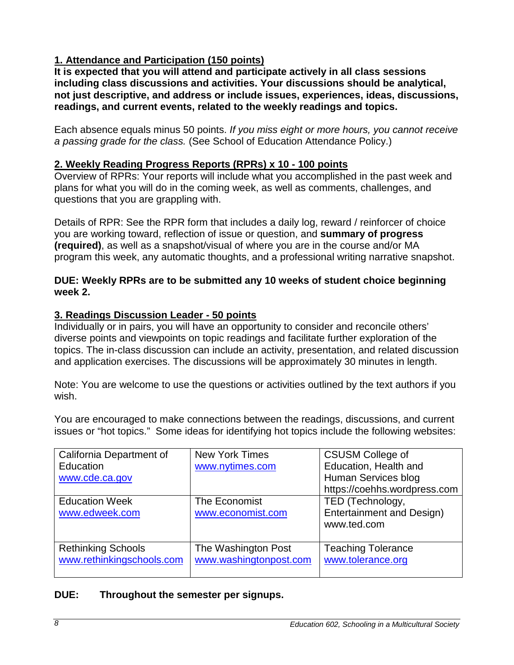## **1. Attendance and Participation (150 points)**

**It is expected that you will attend and participate actively in all class sessions including class discussions and activities. Your discussions should be analytical, not just descriptive, and address or include issues, experiences, ideas, discussions, readings, and current events, related to the weekly readings and topics.** 

Each absence equals minus 50 points. *If you miss eight or more hours, you cannot receive a passing grade for the class.* (See School of Education Attendance Policy.)

### **2. Weekly Reading Progress Reports (RPRs) x 10 - 100 points**

Overview of RPRs: Your reports will include what you accomplished in the past week and plans for what you will do in the coming week, as well as comments, challenges, and questions that you are grappling with.

Details of RPR: See the RPR form that includes a daily log, reward / reinforcer of choice you are working toward, reflection of issue or question, and **summary of progress (required)**, as well as a snapshot/visual of where you are in the course and/or MA program this week, any automatic thoughts, and a professional writing narrative snapshot.

### **DUE: Weekly RPRs are to be submitted any 10 weeks of student choice beginning week 2.**

### **3. Readings Discussion Leader - 50 points**

Individually or in pairs, you will have an opportunity to consider and reconcile others' diverse points and viewpoints on topic readings and facilitate further exploration of the topics. The in-class discussion can include an activity, presentation, and related discussion and application exercises. The discussions will be approximately 30 minutes in length.

Note: You are welcome to use the questions or activities outlined by the text authors if you wish.

You are encouraged to make connections between the readings, discussions, and current issues or "hot topics." Some ideas for identifying hot topics include the following websites:

| California Department of<br>Education<br>www.cde.ca.gov | <b>New York Times</b><br>www.nytimes.com      | <b>CSUSM College of</b><br>Education, Health and<br>Human Services blog<br>https://coehhs.wordpress.com |
|---------------------------------------------------------|-----------------------------------------------|---------------------------------------------------------------------------------------------------------|
| <b>Education Week</b><br>www.edweek.com                 | The Economist<br>www.economist.com            | TED (Technology,<br><b>Entertainment and Design)</b><br>www.ted.com                                     |
| <b>Rethinking Schools</b><br>www.rethinkingschools.com  | The Washington Post<br>www.washingtonpost.com | <b>Teaching Tolerance</b><br>www.tolerance.org                                                          |

### **DUE: Throughout the semester per signups.**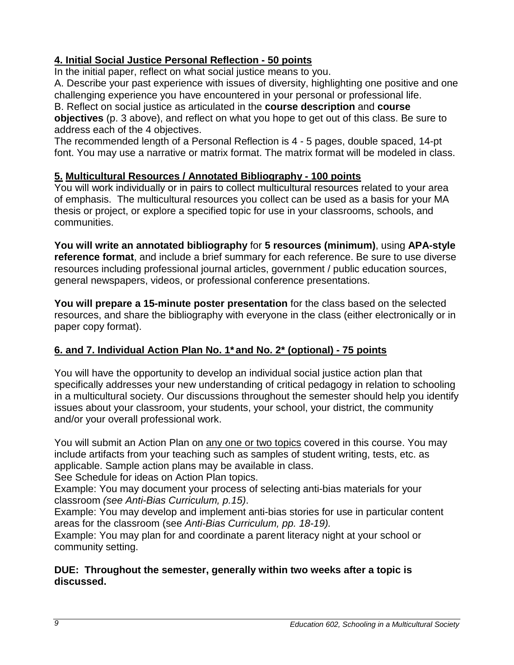## **4. Initial Social Justice Personal Reflection - 50 points**

In the initial paper, reflect on what social justice means to you.

A. Describe your past experience with issues of diversity, highlighting one positive and one challenging experience you have encountered in your personal or professional life.

B. Reflect on social justice as articulated in the **course description** and **course objectives** (p. 3 above), and reflect on what you hope to get out of this class. Be sure to address each of the 4 objectives.

The recommended length of a Personal Reflection is 4 - 5 pages, double spaced, 14-pt font. You may use a narrative or matrix format. The matrix format will be modeled in class.

## **5. Multicultural Resources / Annotated Bibliography - 100 points**

You will work individually or in pairs to collect multicultural resources related to your area of emphasis. The multicultural resources you collect can be used as a basis for your MA thesis or project, or explore a specified topic for use in your classrooms, schools, and communities.

**You will write an annotated bibliography** for **5 resources (minimum)**, using **APA-style reference format**, and include a brief summary for each reference. Be sure to use diverse resources including professional journal articles, government / public education sources, general newspapers, videos, or professional conference presentations.

**You will prepare a 15-minute poster presentation** for the class based on the selected resources, and share the bibliography with everyone in the class (either electronically or in paper copy format).

## **6. and 7. Individual Action Plan No. 1\* and No. 2\* (optional) - 75 points**

You will have the opportunity to develop an individual social justice action plan that specifically addresses your new understanding of critical pedagogy in relation to schooling in a multicultural society. Our discussions throughout the semester should help you identify issues about your classroom, your students, your school, your district, the community and/or your overall professional work.

You will submit an Action Plan on any one or two topics covered in this course. You may include artifacts from your teaching such as samples of student writing, tests, etc. as applicable. Sample action plans may be available in class.

See Schedule for ideas on Action Plan topics.

Example: You may document your process of selecting anti-bias materials for your classroom *(see Anti-Bias Curriculum, p.15)*.

Example: You may develop and implement anti-bias stories for use in particular content areas for the classroom (see *Anti-Bias Curriculum, pp. 18-19).*

Example: You may plan for and coordinate a parent literacy night at your school or community setting.

### **DUE: Throughout the semester, generally within two weeks after a topic is discussed.**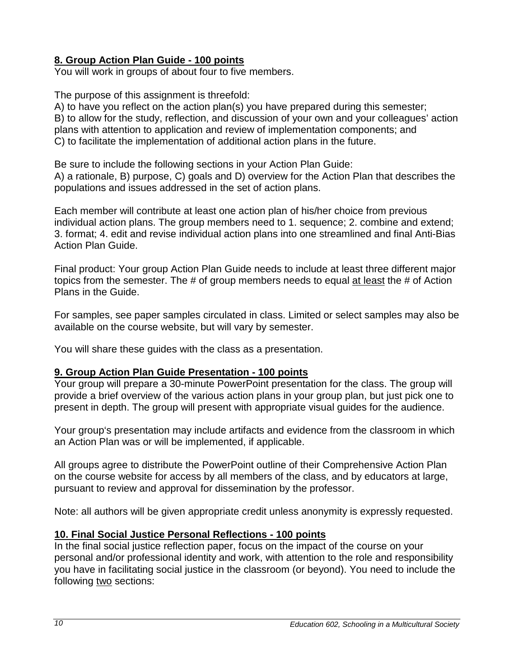## **8. Group Action Plan Guide - 100 points**

You will work in groups of about four to five members.

The purpose of this assignment is threefold:

A) to have you reflect on the action plan(s) you have prepared during this semester; B) to allow for the study, reflection, and discussion of your own and your colleagues' action plans with attention to application and review of implementation components; and C) to facilitate the implementation of additional action plans in the future.

Be sure to include the following sections in your Action Plan Guide: A) a rationale, B) purpose, C) goals and D) overview for the Action Plan that describes the populations and issues addressed in the set of action plans.

Each member will contribute at least one action plan of his/her choice from previous individual action plans. The group members need to 1. sequence; 2. combine and extend; 3. format; 4. edit and revise individual action plans into one streamlined and final Anti-Bias Action Plan Guide.

Final product: Your group Action Plan Guide needs to include at least three different major topics from the semester. The # of group members needs to equal at least the # of Action Plans in the Guide.

For samples, see paper samples circulated in class. Limited or select samples may also be available on the course website, but will vary by semester.

You will share these guides with the class as a presentation.

### **9. Group Action Plan Guide Presentation - 100 points**

Your group will prepare a 30-minute PowerPoint presentation for the class. The group will provide a brief overview of the various action plans in your group plan, but just pick one to present in depth. The group will present with appropriate visual guides for the audience.

Your group's presentation may include artifacts and evidence from the classroom in which an Action Plan was or will be implemented, if applicable.

All groups agree to distribute the PowerPoint outline of their Comprehensive Action Plan on the course website for access by all members of the class, and by educators at large, pursuant to review and approval for dissemination by the professor.

Note: all authors will be given appropriate credit unless anonymity is expressly requested.

## **10. Final Social Justice Personal Reflections - 100 points**

In the final social justice reflection paper, focus on the impact of the course on your personal and/or professional identity and work, with attention to the role and responsibility you have in facilitating social justice in the classroom (or beyond). You need to include the following two sections: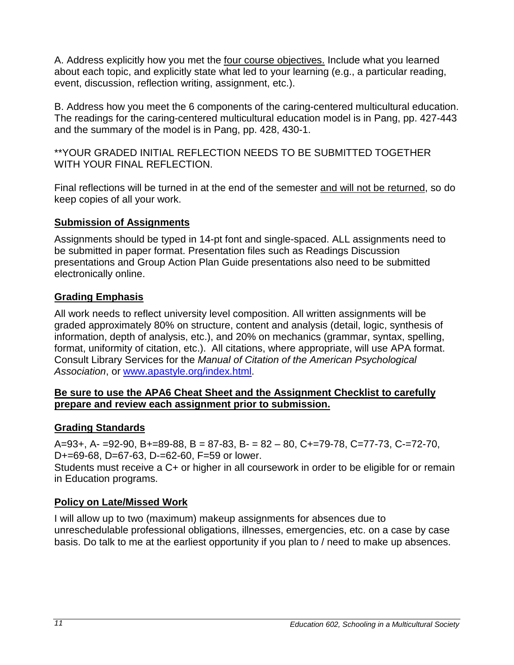A. Address explicitly how you met the four course objectives. Include what you learned about each topic, and explicitly state what led to your learning (e.g., a particular reading, event, discussion, reflection writing, assignment, etc.).

B. Address how you meet the 6 components of the caring-centered multicultural education. The readings for the caring-centered multicultural education model is in Pang, pp. 427-443 and the summary of the model is in Pang, pp. 428, 430-1.

\*\*YOUR GRADED INITIAL REFLECTION NEEDS TO BE SUBMITTED TOGETHER WITH YOUR FINAL REFLECTION.

Final reflections will be turned in at the end of the semester and will not be returned, so do keep copies of all your work.

### <span id="page-10-0"></span>**Submission of Assignments**

Assignments should be typed in 14-pt font and single-spaced. ALL assignments need to be submitted in paper format. Presentation files such as Readings Discussion presentations and Group Action Plan Guide presentations also need to be submitted electronically online.

## <span id="page-10-1"></span>**Grading Emphasis**

All work needs to reflect university level composition. All written assignments will be graded approximately 80% on structure, content and analysis (detail, logic, synthesis of information, depth of analysis, etc.), and 20% on mechanics (grammar, syntax, spelling, format, uniformity of citation, etc.). All citations, where appropriate, will use APA format. Consult Library Services for the *Manual of Citation of the American Psychological Association*, or [www.apastyle.org/index.html.](http://www.apastyle.org/index.html)

### **Be sure to use the APA6 Cheat Sheet and the Assignment Checklist to carefully prepare and review each assignment prior to submission.**

## <span id="page-10-2"></span>**Grading Standards**

 $A=93+, A=-92-90, B=-89-88, B = 87-83, B = 82-80, C=-79-78, C=-77-73, C=-72-70,$ D+=69-68, D=67-63, D-=62-60, F=59 or lower.

Students must receive a C+ or higher in all coursework in order to be eligible for or remain in Education programs.

# <span id="page-10-3"></span>**Policy on Late/Missed Work**

I will allow up to two (maximum) makeup assignments for absences due to unreschedulable professional obligations, illnesses, emergencies, etc. on a case by case basis. Do talk to me at the earliest opportunity if you plan to / need to make up absences.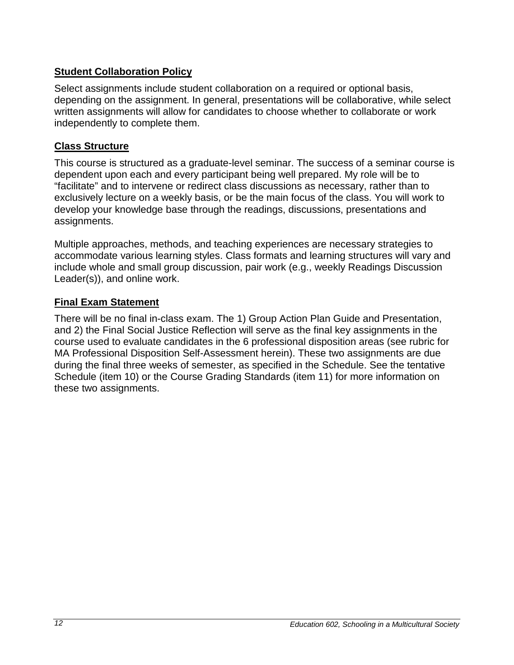## <span id="page-11-0"></span>**Student Collaboration Policy**

Select assignments include student collaboration on a required or optional basis, depending on the assignment. In general, presentations will be collaborative, while select written assignments will allow for candidates to choose whether to collaborate or work independently to complete them.

### <span id="page-11-1"></span>**Class Structure**

This course is structured as a graduate-level seminar. The success of a seminar course is dependent upon each and every participant being well prepared. My role will be to "facilitate" and to intervene or redirect class discussions as necessary, rather than to exclusively lecture on a weekly basis, or be the main focus of the class. You will work to develop your knowledge base through the readings, discussions, presentations and assignments.

Multiple approaches, methods, and teaching experiences are necessary strategies to accommodate various learning styles. Class formats and learning structures will vary and include whole and small group discussion, pair work (e.g., weekly Readings Discussion Leader(s)), and online work.

### <span id="page-11-2"></span>**Final Exam Statement**

There will be no final in-class exam. The 1) Group Action Plan Guide and Presentation, and 2) the Final Social Justice Reflection will serve as the final key assignments in the course used to evaluate candidates in the 6 professional disposition areas (see rubric for MA Professional Disposition Self-Assessment herein). These two assignments are due during the final three weeks of semester, as specified in the Schedule. See the tentative Schedule (item 10) or the Course Grading Standards (item 11) for more information on these two assignments.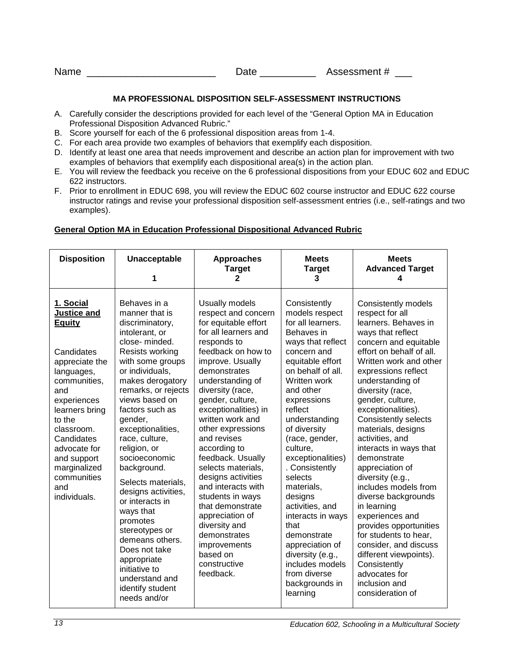| Name | Jate | Assessment # |
|------|------|--------------|
|      |      |              |

#### **MA PROFESSIONAL DISPOSITION SELF-ASSESSMENT INSTRUCTIONS**

- <span id="page-12-0"></span>A. Carefully consider the descriptions provided for each level of the "General Option MA in Education Professional Disposition Advanced Rubric."
- B. Score yourself for each of the 6 professional disposition areas from 1-4.
- C. For each area provide two examples of behaviors that exemplify each disposition.
- D. Identify at least one area that needs improvement and describe an action plan for improvement with two examples of behaviors that exemplify each dispositional area(s) in the action plan.
- E. You will review the feedback you receive on the 6 professional dispositions from your EDUC 602 and EDUC 622 instructors.
- F. Prior to enrollment in EDUC 698, you will review the EDUC 602 course instructor and EDUC 622 course instructor ratings and revise your professional disposition self-assessment entries (i.e., self-ratings and two examples).

#### <span id="page-12-1"></span>**General Option MA in Education Professional Dispositional Advanced Rubric**

| <b>Disposition</b>                                                                                                                                                                                                                                                                | <b>Unacceptable</b><br>1                                                                                                                                                                                                                                                                                                                                                                                                                                                                                                                                              | <b>Approaches</b><br><b>Target</b><br>2                                                                                                                                                                                                                                                                                                                                                                                                                                                                                                                                | <b>Meets</b><br><b>Target</b><br>3                                                                                                                                                                                                                                                                                                                                                                                                                                                                                     | <b>Meets</b><br><b>Advanced Target</b><br>4                                                                                                                                                                                                                                                                                                                                                                                                                                                                                                                                                                                                                                                      |
|-----------------------------------------------------------------------------------------------------------------------------------------------------------------------------------------------------------------------------------------------------------------------------------|-----------------------------------------------------------------------------------------------------------------------------------------------------------------------------------------------------------------------------------------------------------------------------------------------------------------------------------------------------------------------------------------------------------------------------------------------------------------------------------------------------------------------------------------------------------------------|------------------------------------------------------------------------------------------------------------------------------------------------------------------------------------------------------------------------------------------------------------------------------------------------------------------------------------------------------------------------------------------------------------------------------------------------------------------------------------------------------------------------------------------------------------------------|------------------------------------------------------------------------------------------------------------------------------------------------------------------------------------------------------------------------------------------------------------------------------------------------------------------------------------------------------------------------------------------------------------------------------------------------------------------------------------------------------------------------|--------------------------------------------------------------------------------------------------------------------------------------------------------------------------------------------------------------------------------------------------------------------------------------------------------------------------------------------------------------------------------------------------------------------------------------------------------------------------------------------------------------------------------------------------------------------------------------------------------------------------------------------------------------------------------------------------|
| 1. Social<br><b>Justice and</b><br><b>Equity</b><br>Candidates<br>appreciate the<br>languages,<br>communities,<br>and<br>experiences<br>learners bring<br>to the<br>classroom.<br>Candidates<br>advocate for<br>and support<br>marginalized<br>communities<br>and<br>individuals. | Behaves in a<br>manner that is<br>discriminatory,<br>intolerant, or<br>close-minded.<br>Resists working<br>with some groups<br>or individuals,<br>makes derogatory<br>remarks, or rejects<br>views based on<br>factors such as<br>gender,<br>exceptionalities,<br>race, culture,<br>religion, or<br>socioeconomic<br>background.<br>Selects materials,<br>designs activities,<br>or interacts in<br>ways that<br>promotes<br>stereotypes or<br>demeans others.<br>Does not take<br>appropriate<br>initiative to<br>understand and<br>identify student<br>needs and/or | Usually models<br>respect and concern<br>for equitable effort<br>for all learners and<br>responds to<br>feedback on how to<br>improve. Usually<br>demonstrates<br>understanding of<br>diversity (race,<br>gender, culture,<br>exceptionalities) in<br>written work and<br>other expressions<br>and revises<br>according to<br>feedback. Usually<br>selects materials,<br>designs activities<br>and interacts with<br>students in ways<br>that demonstrate<br>appreciation of<br>diversity and<br>demonstrates<br>improvements<br>based on<br>constructive<br>feedback. | Consistently<br>models respect<br>for all learners.<br>Behaves in<br>ways that reflect<br>concern and<br>equitable effort<br>on behalf of all.<br>Written work<br>and other<br>expressions<br>reflect<br>understanding<br>of diversity<br>(race, gender,<br>culture.<br>exceptionalities)<br>. Consistently<br>selects<br>materials,<br>designs<br>activities, and<br>interacts in ways<br>that<br>demonstrate<br>appreciation of<br>diversity (e.g.,<br>includes models<br>from diverse<br>backgrounds in<br>learning | Consistently models<br>respect for all<br>learners. Behaves in<br>ways that reflect<br>concern and equitable<br>effort on behalf of all.<br>Written work and other<br>expressions reflect<br>understanding of<br>diversity (race,<br>gender, culture,<br>exceptionalities).<br><b>Consistently selects</b><br>materials, designs<br>activities, and<br>interacts in ways that<br>demonstrate<br>appreciation of<br>diversity (e.g.,<br>includes models from<br>diverse backgrounds<br>in learning<br>experiences and<br>provides opportunities<br>for students to hear,<br>consider, and discuss<br>different viewpoints).<br>Consistently<br>advocates for<br>inclusion and<br>consideration of |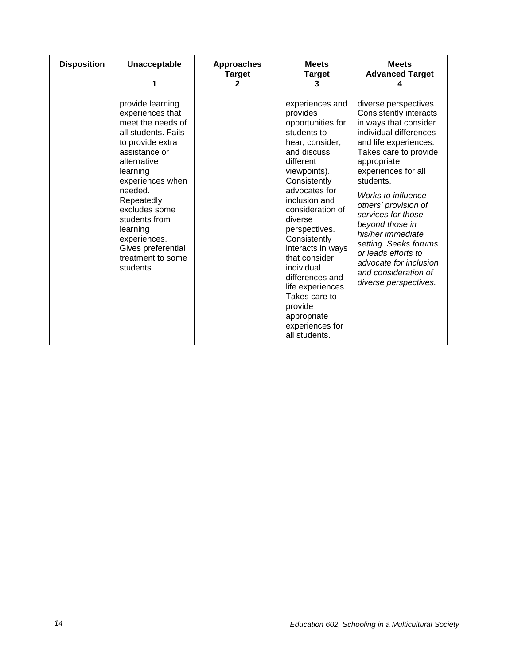| <b>Disposition</b> | <b>Unacceptable</b><br>1                                                                                                                                                                                                                                                                                            | <b>Approaches</b><br><b>Target</b><br>2 | <b>Meets</b><br><b>Target</b><br>3                                                                                                                                                                                                                                                                                                                                                                                          | <b>Meets</b><br><b>Advanced Target</b>                                                                                                                                                                                                                                                                                                                                                                                                         |
|--------------------|---------------------------------------------------------------------------------------------------------------------------------------------------------------------------------------------------------------------------------------------------------------------------------------------------------------------|-----------------------------------------|-----------------------------------------------------------------------------------------------------------------------------------------------------------------------------------------------------------------------------------------------------------------------------------------------------------------------------------------------------------------------------------------------------------------------------|------------------------------------------------------------------------------------------------------------------------------------------------------------------------------------------------------------------------------------------------------------------------------------------------------------------------------------------------------------------------------------------------------------------------------------------------|
|                    | provide learning<br>experiences that<br>meet the needs of<br>all students. Fails<br>to provide extra<br>assistance or<br>alternative<br>learning<br>experiences when<br>needed.<br>Repeatedly<br>excludes some<br>students from<br>learning<br>experiences.<br>Gives preferential<br>treatment to some<br>students. |                                         | experiences and<br>provides<br>opportunities for<br>students to<br>hear, consider,<br>and discuss<br>different<br>viewpoints).<br>Consistently<br>advocates for<br>inclusion and<br>consideration of<br>diverse<br>perspectives.<br>Consistently<br>interacts in ways<br>that consider<br>individual<br>differences and<br>life experiences.<br>Takes care to<br>provide<br>appropriate<br>experiences for<br>all students. | diverse perspectives.<br>Consistently interacts<br>in ways that consider<br>individual differences<br>and life experiences.<br>Takes care to provide<br>appropriate<br>experiences for all<br>students.<br>Works to influence<br>others' provision of<br>services for those<br>beyond those in<br>his/her immediate<br>setting. Seeks forums<br>or leads efforts to<br>advocate for inclusion<br>and consideration of<br>diverse perspectives. |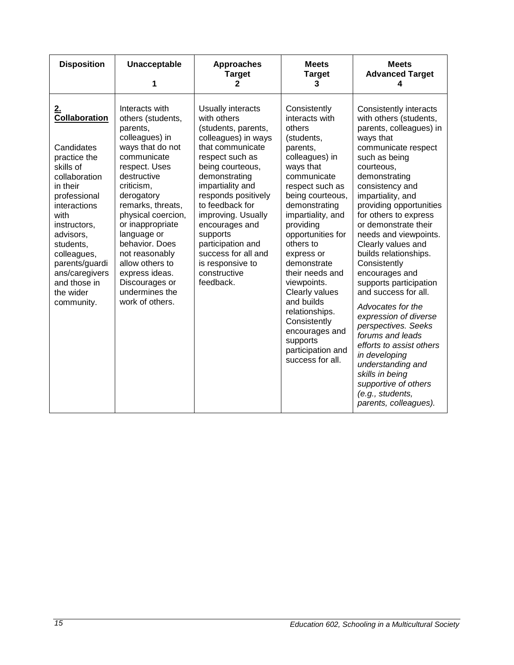| <b>Disposition</b>                                                                                                                                                                                                                                                                 | <b>Unacceptable</b><br>1                                                                                                                                                                                                                                                                                                                                                       | <b>Approaches</b><br><b>Target</b><br>2                                                                                                                                                                                                                                                                                                                                   | <b>Meets</b><br><b>Target</b><br>3                                                                                                                                                                                                                                                                                                                                                                                                                   | <b>Meets</b><br><b>Advanced Target</b><br>4                                                                                                                                                                                                                                                                                                                                                                                                                                                                                                                                                                                                                                                        |
|------------------------------------------------------------------------------------------------------------------------------------------------------------------------------------------------------------------------------------------------------------------------------------|--------------------------------------------------------------------------------------------------------------------------------------------------------------------------------------------------------------------------------------------------------------------------------------------------------------------------------------------------------------------------------|---------------------------------------------------------------------------------------------------------------------------------------------------------------------------------------------------------------------------------------------------------------------------------------------------------------------------------------------------------------------------|------------------------------------------------------------------------------------------------------------------------------------------------------------------------------------------------------------------------------------------------------------------------------------------------------------------------------------------------------------------------------------------------------------------------------------------------------|----------------------------------------------------------------------------------------------------------------------------------------------------------------------------------------------------------------------------------------------------------------------------------------------------------------------------------------------------------------------------------------------------------------------------------------------------------------------------------------------------------------------------------------------------------------------------------------------------------------------------------------------------------------------------------------------------|
| <u>2.</u><br>Collaboration<br>Candidates<br>practice the<br>skills of<br>collaboration<br>in their<br>professional<br>interactions<br>with<br>instructors,<br>advisors,<br>students,<br>colleagues,<br>parents/guardi<br>ans/caregivers<br>and those in<br>the wider<br>community. | Interacts with<br>others (students,<br>parents,<br>colleagues) in<br>ways that do not<br>communicate<br>respect. Uses<br>destructive<br>criticism,<br>derogatory<br>remarks, threats,<br>physical coercion,<br>or inappropriate<br>language or<br>behavior. Does<br>not reasonably<br>allow others to<br>express ideas.<br>Discourages or<br>undermines the<br>work of others. | Usually interacts<br>with others<br>(students, parents,<br>colleagues) in ways<br>that communicate<br>respect such as<br>being courteous,<br>demonstrating<br>impartiality and<br>responds positively<br>to feedback for<br>improving. Usually<br>encourages and<br>supports<br>participation and<br>success for all and<br>is responsive to<br>constructive<br>feedback. | Consistently<br>interacts with<br>others<br>(students,<br>parents,<br>colleagues) in<br>ways that<br>communicate<br>respect such as<br>being courteous,<br>demonstrating<br>impartiality, and<br>providing<br>opportunities for<br>others to<br>express or<br>demonstrate<br>their needs and<br>viewpoints.<br>Clearly values<br>and builds<br>relationships.<br>Consistently<br>encourages and<br>supports<br>participation and<br>success for all. | Consistently interacts<br>with others (students,<br>parents, colleagues) in<br>ways that<br>communicate respect<br>such as being<br>courteous,<br>demonstrating<br>consistency and<br>impartiality, and<br>providing opportunities<br>for others to express<br>or demonstrate their<br>needs and viewpoints.<br>Clearly values and<br>builds relationships.<br>Consistently<br>encourages and<br>supports participation<br>and success for all.<br>Advocates for the<br>expression of diverse<br>perspectives. Seeks<br>forums and leads<br>efforts to assist others<br>in developing<br>understanding and<br>skills in being<br>supportive of others<br>(e.g., students,<br>parents, colleagues). |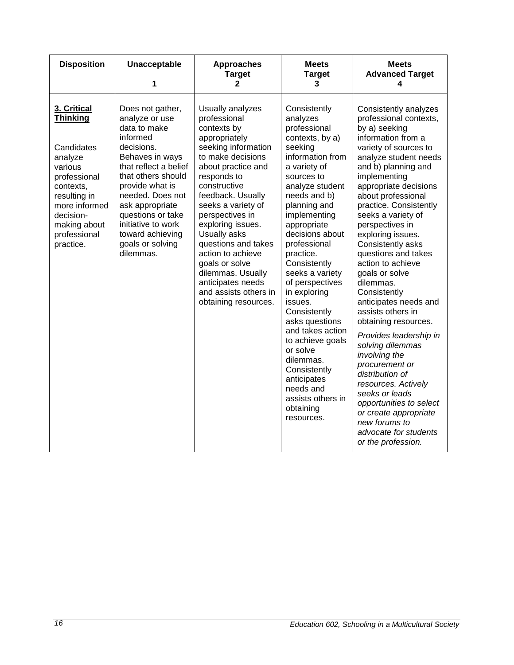| <b>Disposition</b>                                                                                                                                                                         | Unacceptable<br>1                                                                                                                                                                                                                                                                                        | <b>Approaches</b><br><b>Target</b><br>2                                                                                                                                                                                                                                                                                                                                                                                       | <b>Meets</b><br><b>Target</b><br>3                                                                                                                                                                                                                                                                                                                                                                                                                                                                                                         | <b>Meets</b><br><b>Advanced Target</b><br>4                                                                                                                                                                                                                                                                                                                                                                                                                                                                                                                                                                                                                                                                                                                                   |
|--------------------------------------------------------------------------------------------------------------------------------------------------------------------------------------------|----------------------------------------------------------------------------------------------------------------------------------------------------------------------------------------------------------------------------------------------------------------------------------------------------------|-------------------------------------------------------------------------------------------------------------------------------------------------------------------------------------------------------------------------------------------------------------------------------------------------------------------------------------------------------------------------------------------------------------------------------|--------------------------------------------------------------------------------------------------------------------------------------------------------------------------------------------------------------------------------------------------------------------------------------------------------------------------------------------------------------------------------------------------------------------------------------------------------------------------------------------------------------------------------------------|-------------------------------------------------------------------------------------------------------------------------------------------------------------------------------------------------------------------------------------------------------------------------------------------------------------------------------------------------------------------------------------------------------------------------------------------------------------------------------------------------------------------------------------------------------------------------------------------------------------------------------------------------------------------------------------------------------------------------------------------------------------------------------|
| 3. Critical<br><b>Thinking</b><br>Candidates<br>analyze<br>various<br>professional<br>contexts,<br>resulting in<br>more informed<br>decision-<br>making about<br>professional<br>practice. | Does not gather,<br>analyze or use<br>data to make<br>informed<br>decisions.<br>Behaves in ways<br>that reflect a belief<br>that others should<br>provide what is<br>needed. Does not<br>ask appropriate<br>questions or take<br>initiative to work<br>toward achieving<br>goals or solving<br>dilemmas. | Usually analyzes<br>professional<br>contexts by<br>appropriately<br>seeking information<br>to make decisions<br>about practice and<br>responds to<br>constructive<br>feedback. Usually<br>seeks a variety of<br>perspectives in<br>exploring issues.<br>Usually asks<br>questions and takes<br>action to achieve<br>goals or solve<br>dilemmas. Usually<br>anticipates needs<br>and assists others in<br>obtaining resources. | Consistently<br>analyzes<br>professional<br>contexts, by a)<br>seeking<br>information from<br>a variety of<br>sources to<br>analyze student<br>needs and b)<br>planning and<br>implementing<br>appropriate<br>decisions about<br>professional<br>practice.<br>Consistently<br>seeks a variety<br>of perspectives<br>in exploring<br>issues.<br>Consistently<br>asks questions<br>and takes action<br>to achieve goals<br>or solve<br>dilemmas.<br>Consistently<br>anticipates<br>needs and<br>assists others in<br>obtaining<br>resources. | Consistently analyzes<br>professional contexts,<br>by a) seeking<br>information from a<br>variety of sources to<br>analyze student needs<br>and b) planning and<br>implementing<br>appropriate decisions<br>about professional<br>practice. Consistently<br>seeks a variety of<br>perspectives in<br>exploring issues.<br>Consistently asks<br>questions and takes<br>action to achieve<br>goals or solve<br>dilemmas.<br>Consistently<br>anticipates needs and<br>assists others in<br>obtaining resources.<br>Provides leadership in<br>solving dilemmas<br>involving the<br>procurement or<br>distribution of<br>resources. Actively<br>seeks or leads<br>opportunities to select<br>or create appropriate<br>new forums to<br>advocate for students<br>or the profession. |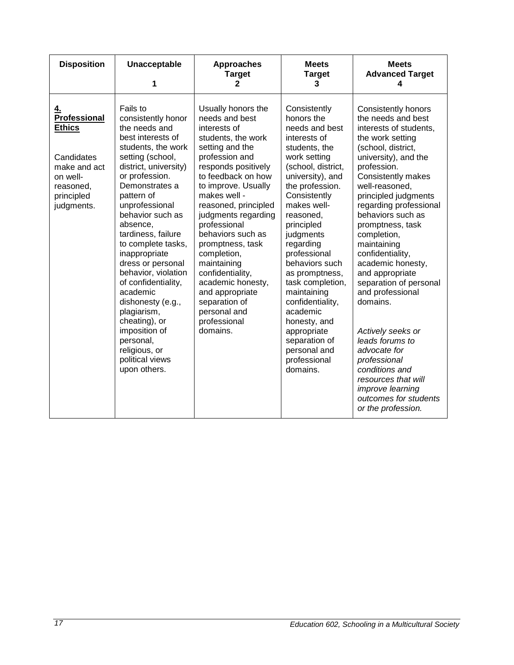| <b>Disposition</b>                                                                                                     | Unacceptable<br>1                                                                                                                                                                                                                                                                                                                                                                                                                                                                                                              | <b>Approaches</b><br><b>Target</b><br>$\mathbf{2}$                                                                                                                                                                                                                                                                                                                                                                                                                 | <b>Meets</b><br><b>Target</b><br>3                                                                                                                                                                                                                                                                                                                                                                                                                                | <b>Meets</b><br><b>Advanced Target</b><br>4                                                                                                                                                                                                                                                                                                                                                                                                                                                                                                                                                                                                   |
|------------------------------------------------------------------------------------------------------------------------|--------------------------------------------------------------------------------------------------------------------------------------------------------------------------------------------------------------------------------------------------------------------------------------------------------------------------------------------------------------------------------------------------------------------------------------------------------------------------------------------------------------------------------|--------------------------------------------------------------------------------------------------------------------------------------------------------------------------------------------------------------------------------------------------------------------------------------------------------------------------------------------------------------------------------------------------------------------------------------------------------------------|-------------------------------------------------------------------------------------------------------------------------------------------------------------------------------------------------------------------------------------------------------------------------------------------------------------------------------------------------------------------------------------------------------------------------------------------------------------------|-----------------------------------------------------------------------------------------------------------------------------------------------------------------------------------------------------------------------------------------------------------------------------------------------------------------------------------------------------------------------------------------------------------------------------------------------------------------------------------------------------------------------------------------------------------------------------------------------------------------------------------------------|
| 4.<br>Professional<br><b>Ethics</b><br>Candidates<br>make and act<br>on well-<br>reasoned,<br>principled<br>judgments. | Fails to<br>consistently honor<br>the needs and<br>best interests of<br>students, the work<br>setting (school,<br>district, university)<br>or profession.<br>Demonstrates a<br>pattern of<br>unprofessional<br>behavior such as<br>absence,<br>tardiness, failure<br>to complete tasks,<br>inappropriate<br>dress or personal<br>behavior, violation<br>of confidentiality,<br>academic<br>dishonesty (e.g.,<br>plagiarism,<br>cheating), or<br>imposition of<br>personal,<br>religious, or<br>political views<br>upon others. | Usually honors the<br>needs and best<br>interests of<br>students, the work<br>setting and the<br>profession and<br>responds positively<br>to feedback on how<br>to improve. Usually<br>makes well -<br>reasoned, principled<br>judgments regarding<br>professional<br>behaviors such as<br>promptness, task<br>completion,<br>maintaining<br>confidentiality,<br>academic honesty,<br>and appropriate<br>separation of<br>personal and<br>professional<br>domains. | Consistently<br>honors the<br>needs and best<br>interests of<br>students, the<br>work setting<br>(school, district,<br>university), and<br>the profession.<br>Consistently<br>makes well-<br>reasoned.<br>principled<br>judgments<br>regarding<br>professional<br>behaviors such<br>as promptness,<br>task completion,<br>maintaining<br>confidentiality,<br>academic<br>honesty, and<br>appropriate<br>separation of<br>personal and<br>professional<br>domains. | <b>Consistently honors</b><br>the needs and best<br>interests of students,<br>the work setting<br>(school, district,<br>university), and the<br>profession.<br>Consistently makes<br>well-reasoned,<br>principled judgments<br>regarding professional<br>behaviors such as<br>promptness, task<br>completion,<br>maintaining<br>confidentiality,<br>academic honesty,<br>and appropriate<br>separation of personal<br>and professional<br>domains.<br>Actively seeks or<br>leads forums to<br>advocate for<br>professional<br>conditions and<br>resources that will<br><i>improve learning</i><br>outcomes for students<br>or the profession. |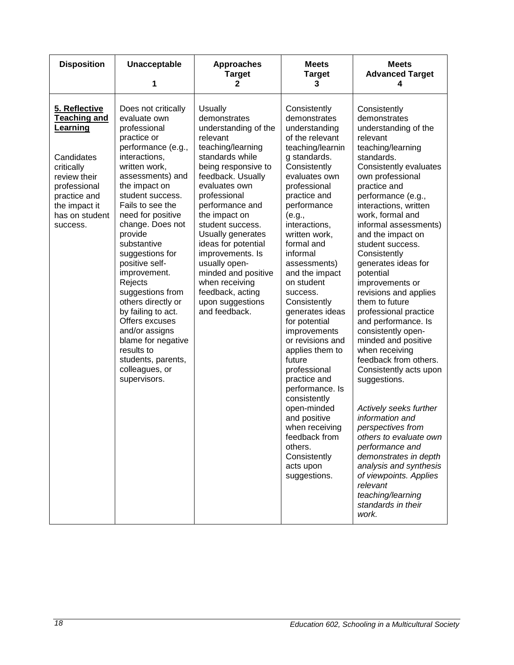| <b>Disposition</b>                                                                                                                                                          | Unacceptable<br>1                                                                                                                                                                                                                                                                                                                                                                                                                                                                                                                          | <b>Approaches</b><br><b>Target</b><br>2                                                                                                                                                                                                                                                                                                                                                                                            | <b>Meets</b><br><b>Target</b><br>3                                                                                                                                                                                                                                                                                                                                                                                                                                                                                                                                                                                                       | <b>Meets</b><br><b>Advanced Target</b><br>4                                                                                                                                                                                                                                                                                                                                                                                                                                                                                                                                                                                                                                                                                                                                                                                                                            |
|-----------------------------------------------------------------------------------------------------------------------------------------------------------------------------|--------------------------------------------------------------------------------------------------------------------------------------------------------------------------------------------------------------------------------------------------------------------------------------------------------------------------------------------------------------------------------------------------------------------------------------------------------------------------------------------------------------------------------------------|------------------------------------------------------------------------------------------------------------------------------------------------------------------------------------------------------------------------------------------------------------------------------------------------------------------------------------------------------------------------------------------------------------------------------------|------------------------------------------------------------------------------------------------------------------------------------------------------------------------------------------------------------------------------------------------------------------------------------------------------------------------------------------------------------------------------------------------------------------------------------------------------------------------------------------------------------------------------------------------------------------------------------------------------------------------------------------|------------------------------------------------------------------------------------------------------------------------------------------------------------------------------------------------------------------------------------------------------------------------------------------------------------------------------------------------------------------------------------------------------------------------------------------------------------------------------------------------------------------------------------------------------------------------------------------------------------------------------------------------------------------------------------------------------------------------------------------------------------------------------------------------------------------------------------------------------------------------|
| 5. Reflective<br><b>Teaching and</b><br>Learning<br>Candidates<br>critically<br>review their<br>professional<br>practice and<br>the impact it<br>has on student<br>success. | Does not critically<br>evaluate own<br>professional<br>practice or<br>performance (e.g.,<br>interactions,<br>written work,<br>assessments) and<br>the impact on<br>student success.<br>Fails to see the<br>need for positive<br>change. Does not<br>provide<br>substantive<br>suggestions for<br>positive self-<br>improvement.<br>Rejects<br>suggestions from<br>others directly or<br>by failing to act.<br>Offers excuses<br>and/or assigns<br>blame for negative<br>results to<br>students, parents,<br>colleagues, or<br>supervisors. | <b>Usually</b><br>demonstrates<br>understanding of the<br>relevant<br>teaching/learning<br>standards while<br>being responsive to<br>feedback. Usually<br>evaluates own<br>professional<br>performance and<br>the impact on<br>student success.<br>Usually generates<br>ideas for potential<br>improvements. Is<br>usually open-<br>minded and positive<br>when receiving<br>feedback, acting<br>upon suggestions<br>and feedback. | Consistently<br>demonstrates<br>understanding<br>of the relevant<br>teaching/learnin<br>g standards.<br>Consistently<br>evaluates own<br>professional<br>practice and<br>performance<br>(e.g.,<br>interactions,<br>written work,<br>formal and<br>informal<br>assessments)<br>and the impact<br>on student<br>success.<br>Consistently<br>generates ideas<br>for potential<br>improvements<br>or revisions and<br>applies them to<br>future<br>professional<br>practice and<br>performance. Is<br>consistently<br>open-minded<br>and positive<br>when receiving<br>feedback from<br>others.<br>Consistently<br>acts upon<br>suggestions. | Consistently<br>demonstrates<br>understanding of the<br>relevant<br>teaching/learning<br>standards.<br>Consistently evaluates<br>own professional<br>practice and<br>performance (e.g.,<br>interactions, written<br>work, formal and<br>informal assessments)<br>and the impact on<br>student success.<br>Consistently<br>generates ideas for<br>potential<br>improvements or<br>revisions and applies<br>them to future<br>professional practice<br>and performance. Is<br>consistently open-<br>minded and positive<br>when receiving<br>feedback from others.<br>Consistently acts upon<br>suggestions.<br>Actively seeks further<br>information and<br>perspectives from<br>others to evaluate own<br>performance and<br>demonstrates in depth<br>analysis and synthesis<br>of viewpoints. Applies<br>relevant<br>teaching/learning<br>standards in their<br>work. |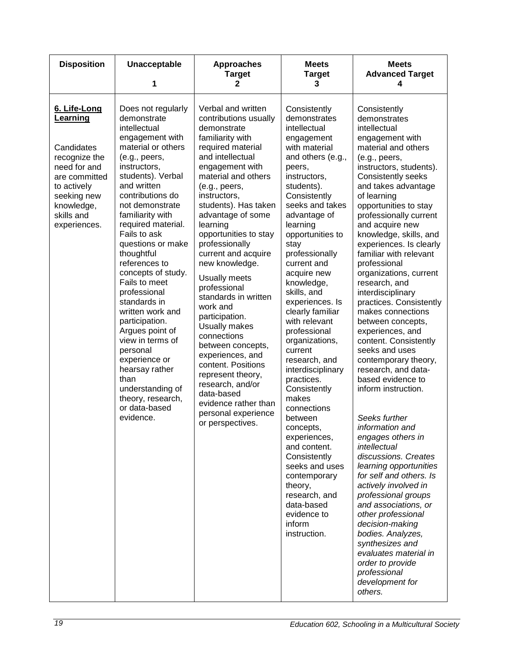| <b>Disposition</b>                                                                                                                                                 | Unacceptable<br>1                                                                                                                                                                                                                                                                                                                                                                                                                                                                                                                                                                                      | <b>Approaches</b><br><b>Target</b><br>2                                                                                                                                                                                                                                                                                                                                                                                                                                                                                                                                                                                                                         | <b>Meets</b><br><b>Target</b><br>3                                                                                                                                                                                                                                                                                                                                                                                                                                                                                                                                                                                                                                                                             | <b>Meets</b><br><b>Advanced Target</b><br>4                                                                                                                                                                                                                                                                                                                                                                                                                                                                                                                                                                                                                                                                                                                                                                                                                                                                                                                                                                                                                                 |
|--------------------------------------------------------------------------------------------------------------------------------------------------------------------|--------------------------------------------------------------------------------------------------------------------------------------------------------------------------------------------------------------------------------------------------------------------------------------------------------------------------------------------------------------------------------------------------------------------------------------------------------------------------------------------------------------------------------------------------------------------------------------------------------|-----------------------------------------------------------------------------------------------------------------------------------------------------------------------------------------------------------------------------------------------------------------------------------------------------------------------------------------------------------------------------------------------------------------------------------------------------------------------------------------------------------------------------------------------------------------------------------------------------------------------------------------------------------------|----------------------------------------------------------------------------------------------------------------------------------------------------------------------------------------------------------------------------------------------------------------------------------------------------------------------------------------------------------------------------------------------------------------------------------------------------------------------------------------------------------------------------------------------------------------------------------------------------------------------------------------------------------------------------------------------------------------|-----------------------------------------------------------------------------------------------------------------------------------------------------------------------------------------------------------------------------------------------------------------------------------------------------------------------------------------------------------------------------------------------------------------------------------------------------------------------------------------------------------------------------------------------------------------------------------------------------------------------------------------------------------------------------------------------------------------------------------------------------------------------------------------------------------------------------------------------------------------------------------------------------------------------------------------------------------------------------------------------------------------------------------------------------------------------------|
| 6. Life-Long<br>Learning<br>Candidates<br>recognize the<br>need for and<br>are committed<br>to actively<br>seeking new<br>knowledge,<br>skills and<br>experiences. | Does not regularly<br>demonstrate<br>intellectual<br>engagement with<br>material or others<br>(e.g., peers,<br>instructors,<br>students). Verbal<br>and written<br>contributions do<br>not demonstrate<br>familiarity with<br>required material.<br>Fails to ask<br>questions or make<br>thoughtful<br>references to<br>concepts of study.<br>Fails to meet<br>professional<br>standards in<br>written work and<br>participation.<br>Argues point of<br>view in terms of<br>personal<br>experience or<br>hearsay rather<br>than<br>understanding of<br>theory, research,<br>or data-based<br>evidence. | Verbal and written<br>contributions usually<br>demonstrate<br>familiarity with<br>required material<br>and intellectual<br>engagement with<br>material and others<br>(e.g., peers,<br>instructors,<br>students). Has taken<br>advantage of some<br>learning<br>opportunities to stay<br>professionally<br>current and acquire<br>new knowledge.<br>Usually meets<br>professional<br>standards in written<br>work and<br>participation.<br>Usually makes<br>connections<br>between concepts,<br>experiences, and<br>content. Positions<br>represent theory,<br>research, and/or<br>data-based<br>evidence rather than<br>personal experience<br>or perspectives. | Consistently<br>demonstrates<br>intellectual<br>engagement<br>with material<br>and others (e.g.,<br>peers,<br>instructors,<br>students).<br>Consistently<br>seeks and takes<br>advantage of<br>learning<br>opportunities to<br>stay<br>professionally<br>current and<br>acquire new<br>knowledge,<br>skills, and<br>experiences. Is<br>clearly familiar<br>with relevant<br>professional<br>organizations,<br>current<br>research, and<br>interdisciplinary<br>practices.<br>Consistently<br>makes<br>connections<br>between<br>concepts,<br>experiences,<br>and content.<br>Consistently<br>seeks and uses<br>contemporary<br>theory,<br>research, and<br>data-based<br>evidence to<br>inform<br>instruction. | Consistently<br>demonstrates<br>intellectual<br>engagement with<br>material and others<br>(e.g., peers,<br>instructors, students).<br>Consistently seeks<br>and takes advantage<br>of learning<br>opportunities to stay<br>professionally current<br>and acquire new<br>knowledge, skills, and<br>experiences. Is clearly<br>familiar with relevant<br>professional<br>organizations, current<br>research, and<br>interdisciplinary<br>practices. Consistently<br>makes connections<br>between concepts,<br>experiences, and<br>content. Consistently<br>seeks and uses<br>contemporary theory,<br>research, and data-<br>based evidence to<br>inform instruction.<br>Seeks further<br>information and<br>engages others in<br>intellectual<br>discussions. Creates<br>learning opportunities<br>for self and others. Is<br>actively involved in<br>professional groups<br>and associations, or<br>other professional<br>decision-making<br>bodies. Analyzes,<br>synthesizes and<br>evaluates material in<br>order to provide<br>professional<br>development for<br>others. |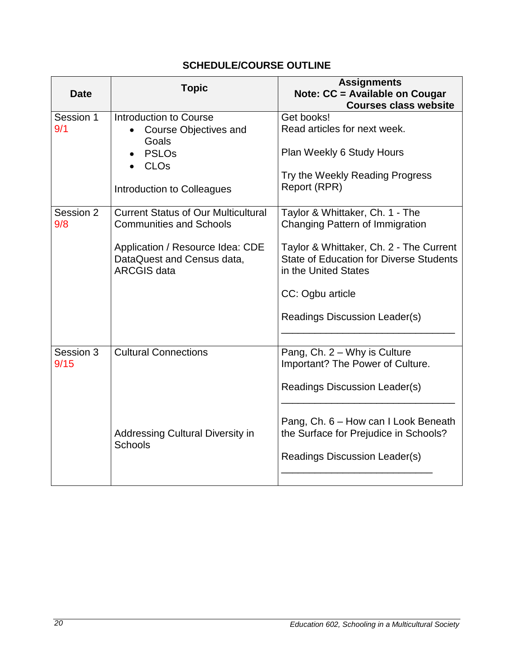<span id="page-19-0"></span>

| <b>Date</b>       | <b>Topic</b>                                                                                                                                                         | <b>Assignments</b><br>Note: CC = Available on Cougar<br><b>Courses class website</b>                                                                                                                                                         |
|-------------------|----------------------------------------------------------------------------------------------------------------------------------------------------------------------|----------------------------------------------------------------------------------------------------------------------------------------------------------------------------------------------------------------------------------------------|
| Session 1<br>9/1  | Introduction to Course<br><b>Course Objectives and</b><br>Goals<br><b>PSLOs</b><br>CLO <sub>s</sub><br>Introduction to Colleagues                                    | Get books!<br>Read articles for next week.<br>Plan Weekly 6 Study Hours<br>Try the Weekly Reading Progress<br>Report (RPR)                                                                                                                   |
| Session 2<br>9/8  | <b>Current Status of Our Multicultural</b><br><b>Communities and Schools</b><br>Application / Resource Idea: CDE<br>DataQuest and Census data,<br><b>ARCGIS data</b> | Taylor & Whittaker, Ch. 1 - The<br>Changing Pattern of Immigration<br>Taylor & Whittaker, Ch. 2 - The Current<br><b>State of Education for Diverse Students</b><br>in the United States<br>CC: Ogbu article<br>Readings Discussion Leader(s) |
| Session 3<br>9/15 | <b>Cultural Connections</b><br>Addressing Cultural Diversity in<br><b>Schools</b>                                                                                    | Pang, Ch. 2 - Why is Culture<br>Important? The Power of Culture.<br>Readings Discussion Leader(s)<br>Pang, Ch. 6 – How can I Look Beneath<br>the Surface for Prejudice in Schools?<br>Readings Discussion Leader(s)                          |

## **SCHEDULE/COURSE OUTLINE**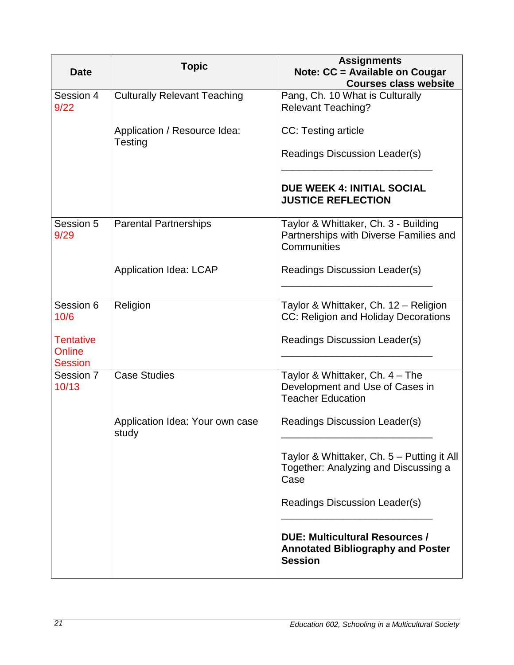| <b>Date</b>                                  | <b>Topic</b>                             | <b>Assignments</b><br>Note: CC = Available on Cougar<br><b>Courses class website</b>                |
|----------------------------------------------|------------------------------------------|-----------------------------------------------------------------------------------------------------|
| Session 4<br>9/22                            | <b>Culturally Relevant Teaching</b>      | Pang, Ch. 10 What is Culturally<br><b>Relevant Teaching?</b>                                        |
|                                              | Application / Resource Idea:<br>Testing  | CC: Testing article                                                                                 |
|                                              |                                          | Readings Discussion Leader(s)                                                                       |
|                                              |                                          | <b>DUE WEEK 4: INITIAL SOCIAL</b><br><b>JUSTICE REFLECTION</b>                                      |
| Session 5<br>9/29                            | <b>Parental Partnerships</b>             | Taylor & Whittaker, Ch. 3 - Building<br>Partnerships with Diverse Families and<br>Communities       |
|                                              | <b>Application Idea: LCAP</b>            | Readings Discussion Leader(s)                                                                       |
| Session 6<br>10/6                            | Religion                                 | Taylor & Whittaker, Ch. 12 - Religion<br>CC: Religion and Holiday Decorations                       |
| <b>Tentative</b><br>Online<br><b>Session</b> |                                          | Readings Discussion Leader(s)                                                                       |
| Session 7<br>10/13                           | <b>Case Studies</b>                      | Taylor & Whittaker, Ch. 4 - The<br>Development and Use of Cases in<br><b>Teacher Education</b>      |
|                                              | Application Idea: Your own case<br>study | Readings Discussion Leader(s)                                                                       |
|                                              |                                          | Taylor & Whittaker, Ch. 5 - Putting it All<br>Together: Analyzing and Discussing a<br>Case          |
|                                              |                                          | Readings Discussion Leader(s)                                                                       |
|                                              |                                          | <b>DUE: Multicultural Resources /</b><br><b>Annotated Bibliography and Poster</b><br><b>Session</b> |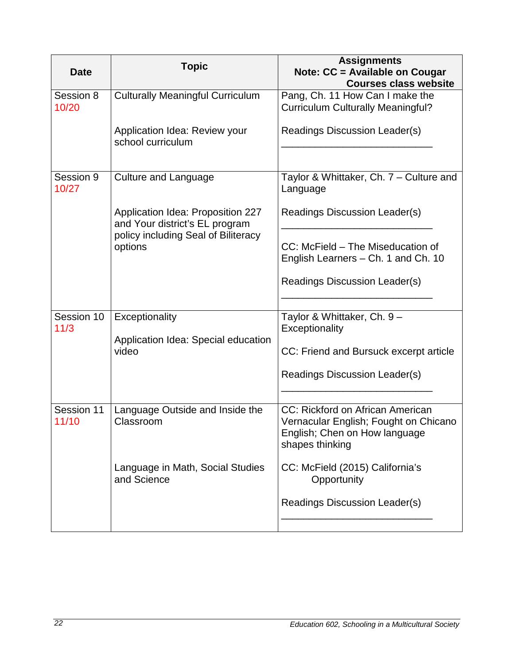| <b>Date</b>         | <b>Topic</b>                                                                                                          | <b>Assignments</b><br>Note: CC = Available on Cougar<br><b>Courses class website</b>                                          |
|---------------------|-----------------------------------------------------------------------------------------------------------------------|-------------------------------------------------------------------------------------------------------------------------------|
| Session 8<br>10/20  | <b>Culturally Meaningful Curriculum</b>                                                                               | Pang, Ch. 11 How Can I make the<br><b>Curriculum Culturally Meaningful?</b>                                                   |
|                     | Application Idea: Review your<br>school curriculum                                                                    | Readings Discussion Leader(s)                                                                                                 |
| Session 9<br>10/27  | <b>Culture and Language</b>                                                                                           | Taylor & Whittaker, Ch. 7 - Culture and<br>Language                                                                           |
|                     | Application Idea: Proposition 227<br>and Your district's EL program<br>policy including Seal of Biliteracy<br>options | Readings Discussion Leader(s)                                                                                                 |
|                     |                                                                                                                       | CC: McField - The Miseducation of<br>English Learners – Ch. 1 and Ch. 10                                                      |
|                     |                                                                                                                       | Readings Discussion Leader(s)                                                                                                 |
| Session 10<br>11/3  | Exceptionality<br>Application Idea: Special education<br>video                                                        | Taylor & Whittaker, Ch. 9 -<br>Exceptionality                                                                                 |
|                     |                                                                                                                       | CC: Friend and Bursuck excerpt article                                                                                        |
|                     |                                                                                                                       | Readings Discussion Leader(s)                                                                                                 |
| Session 11<br>11/10 | Language Outside and Inside the<br>Classroom                                                                          | CC: Rickford on African American<br>Vernacular English; Fought on Chicano<br>English; Chen on How language<br>shapes thinking |
|                     | Language in Math, Social Studies<br>and Science                                                                       | CC: McField (2015) California's<br>Opportunity                                                                                |
|                     |                                                                                                                       | Readings Discussion Leader(s)                                                                                                 |